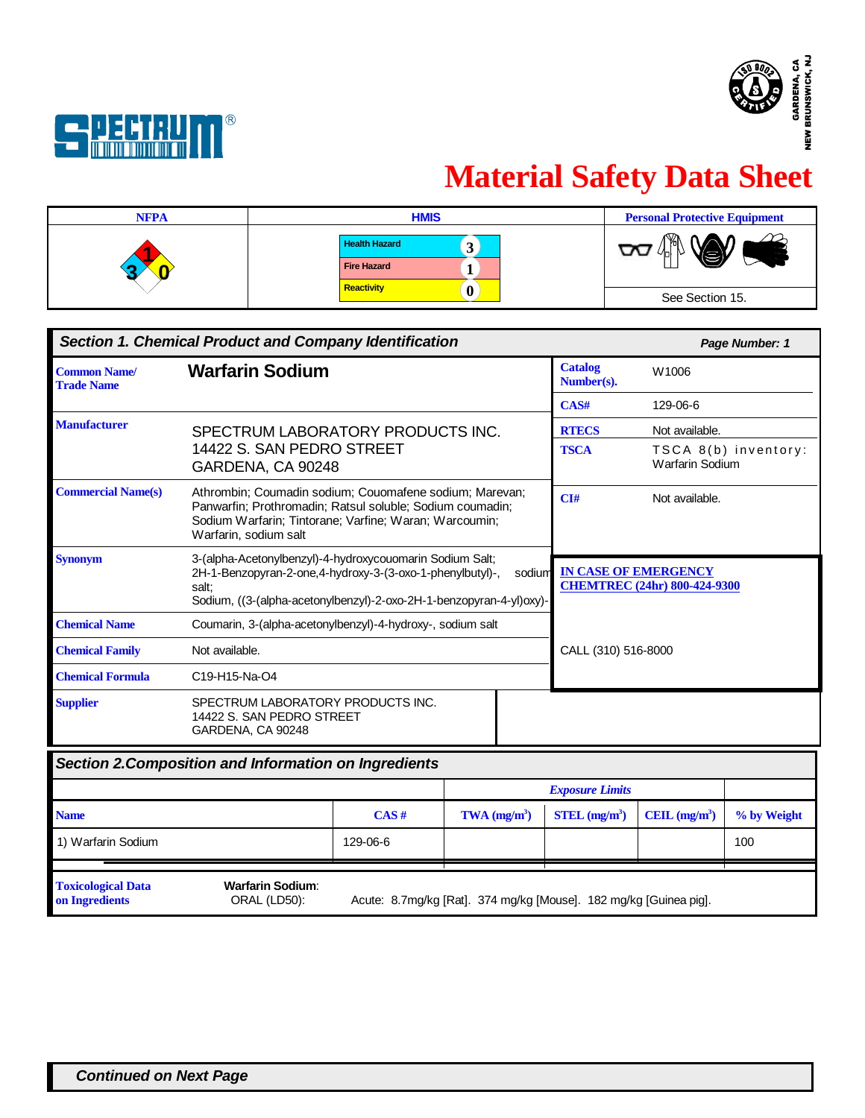



# **Material Safety Data Sheet**

| <b>NFPA</b> | <b>HMIS</b>                                | <b>Personal Protective Equipment</b> |
|-------------|--------------------------------------------|--------------------------------------|
|             | <b>Health Hazard</b><br><b>Fire Hazard</b> | M<br>_                               |
|             | Reactivity<br>v                            | See Section 15.                      |

| <b>Section 1. Chemical Product and Company Identification</b> |                                                                                                                                                                                                         |  | Page Number: 1 |                              |                                                |
|---------------------------------------------------------------|---------------------------------------------------------------------------------------------------------------------------------------------------------------------------------------------------------|--|----------------|------------------------------|------------------------------------------------|
| <b>Common Name/</b><br><b>Trade Name</b>                      | <b>Warfarin Sodium</b>                                                                                                                                                                                  |  |                | <b>Catalog</b><br>Number(s). | W1006                                          |
|                                                               |                                                                                                                                                                                                         |  |                | CAS#                         | 129-06-6                                       |
| <b>Manufacturer</b>                                           | SPECTRUM LABORATORY PRODUCTS INC.                                                                                                                                                                       |  |                | <b>RTECS</b>                 | Not available.                                 |
|                                                               | 14422 S. SAN PEDRO STREET<br>GARDENA, CA 90248                                                                                                                                                          |  |                | <b>TSCA</b>                  | TSCA 8(b) inventory:<br><b>Warfarin Sodium</b> |
| <b>Commercial Name(s)</b>                                     | Athrombin; Coumadin sodium; Couomafene sodium; Marevan;<br>Panwarfin; Prothromadin; Ratsul soluble; Sodium coumadin;<br>Sodium Warfarin; Tintorane; Varfine; Waran; Warcoumin;<br>Warfarin, sodium salt |  |                | CI#                          | Not available.                                 |
| <b>Synonym</b>                                                | 3-(alpha-Acetonylbenzyl)-4-hydroxycouomarin Sodium Salt;<br>2H-1-Benzopyran-2-one,4-hydroxy-3-(3-oxo-1-phenylbutyl)-,<br>salt:<br>Sodium, ((3-(alpha-acetonylbenzyl)-2-oxo-2H-1-benzopyran-4-yl)oxy)-   |  | sodium         | <b>IN CASE OF EMERGENCY</b>  | <b>CHEMTREC (24hr) 800-424-9300</b>            |
| <b>Chemical Name</b>                                          | Coumarin, 3-(alpha-acetonylbenzyl)-4-hydroxy-, sodium salt                                                                                                                                              |  |                |                              |                                                |
| <b>Chemical Family</b>                                        | Not available.                                                                                                                                                                                          |  |                | CALL (310) 516-8000          |                                                |
| <b>Chemical Formula</b>                                       | C19-H15-Na-O4                                                                                                                                                                                           |  |                |                              |                                                |
| <b>Supplier</b>                                               | SPECTRUM LABORATORY PRODUCTS INC.<br>14422 S. SAN PEDRO STREET<br>GARDENA, CA 90248                                                                                                                     |  |                |                              |                                                |
| <b>Section 2. Composition and Information on Ingredients</b>  |                                                                                                                                                                                                         |  |                |                              |                                                |
|                                                               |                                                                                                                                                                                                         |  |                | <b>Exposure Limits</b>       |                                                |
|                                                               |                                                                                                                                                                                                         |  |                |                              |                                                |

|                                             |                                         |          |                                                                   | LAPOSM V LANGU              |                                    |             |
|---------------------------------------------|-----------------------------------------|----------|-------------------------------------------------------------------|-----------------------------|------------------------------------|-------------|
| <b>Name</b>                                 |                                         | CAS#     | $TWA$ (mg/m <sup>3</sup> )                                        | $STEL$ (mg/m <sup>3</sup> ) | $\text{CEIL}$ (mg/m <sup>3</sup> ) | % by Weight |
| 1) Warfarin Sodium                          |                                         | 129-06-6 |                                                                   |                             |                                    | 100         |
| <b>Toxicological Data</b><br>on Ingredients | <b>Warfarin Sodium:</b><br>ORAL (LD50): |          | Acute: 8.7mg/kg [Rat]. 374 mg/kg [Mouse]. 182 mg/kg [Guinea pig]. |                             |                                    |             |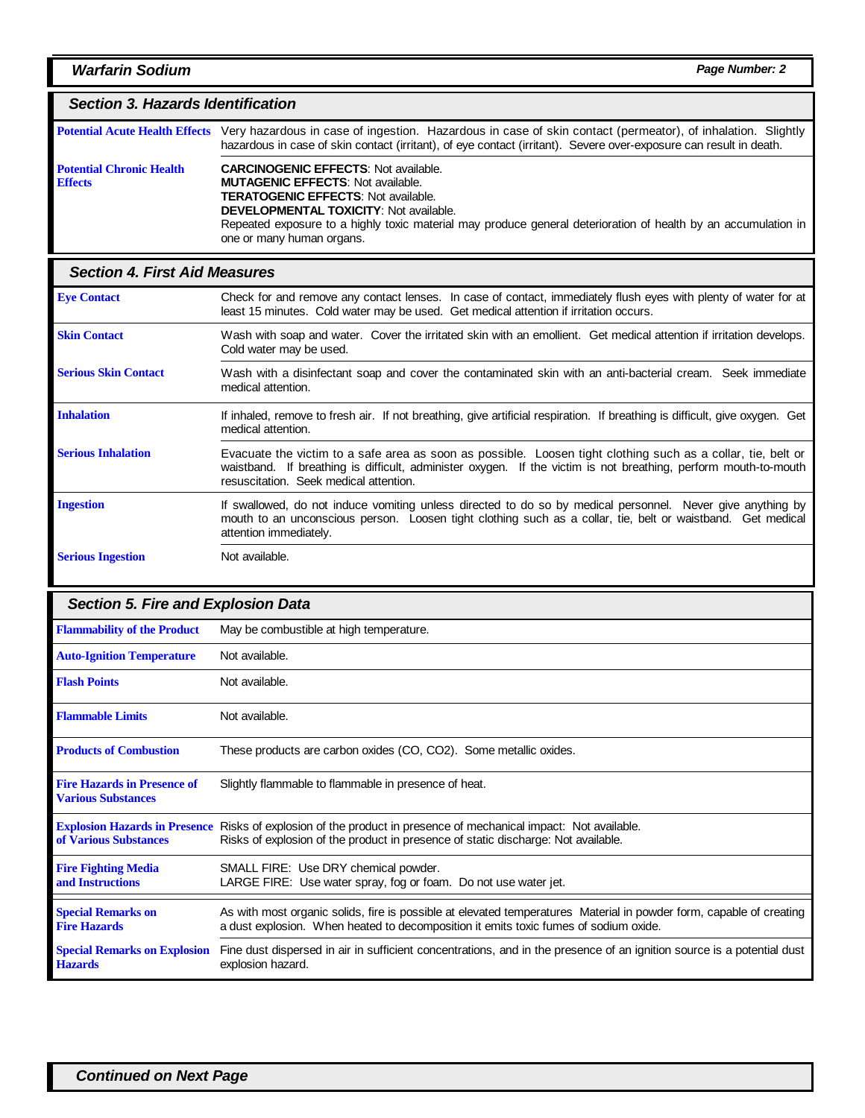# *Section 3. Hazards Identification*

|                                                   | Potential Acute Health Effects Very hazardous in case of ingestion. Hazardous in case of skin contact (permeator), of inhalation. Slightly<br>hazardous in case of skin contact (irritant), of eye contact (irritant). Severe over-exposure can result in death.                                                                      |
|---------------------------------------------------|---------------------------------------------------------------------------------------------------------------------------------------------------------------------------------------------------------------------------------------------------------------------------------------------------------------------------------------|
| <b>Potential Chronic Health</b><br><b>Effects</b> | <b>CARCINOGENIC EFFECTS: Not available.</b><br><b>MUTAGENIC EFFECTS: Not available.</b><br><b>TERATOGENIC EFFECTS: Not available.</b><br><b>DEVELOPMENTAL TOXICITY: Not available.</b><br>Repeated exposure to a highly toxic material may produce general deterioration of health by an accumulation in<br>one or many human organs. |

## *Section 4. First Aid Measures*

| <b>Eye Contact</b>          | Check for and remove any contact lenses. In case of contact, immediately flush eyes with plenty of water for at<br>least 15 minutes. Cold water may be used. Get medical attention if irritation occurs.                                                                  |
|-----------------------------|---------------------------------------------------------------------------------------------------------------------------------------------------------------------------------------------------------------------------------------------------------------------------|
| <b>Skin Contact</b>         | Wash with soap and water. Cover the irritated skin with an emollient. Get medical attention if irritation develops.<br>Cold water may be used.                                                                                                                            |
| <b>Serious Skin Contact</b> | Wash with a disinfectant soap and cover the contaminated skin with an anti-bacterial cream. Seek immediate<br>medical attention.                                                                                                                                          |
| <b>Inhalation</b>           | If inhaled, remove to fresh air. If not breathing, give artificial respiration. If breathing is difficult, give oxygen. Get<br>medical attention.                                                                                                                         |
| <b>Serious Inhalation</b>   | Evacuate the victim to a safe area as soon as possible. Loosen tight clothing such as a collar, tie, belt or<br>waistband. If breathing is difficult, administer oxygen. If the victim is not breathing, perform mouth-to-mouth<br>resuscitation. Seek medical attention. |
| <b>Ingestion</b>            | If swallowed, do not induce vomiting unless directed to do so by medical personnel. Never give anything by<br>mouth to an unconscious person. Loosen tight clothing such as a collar, tie, belt or waistband. Get medical<br>attention immediately.                       |
| <b>Serious Ingestion</b>    | Not available.                                                                                                                                                                                                                                                            |

| <b>Section 5. Fire and Explosion Data</b>                       |                                                                                                                                                                                                             |
|-----------------------------------------------------------------|-------------------------------------------------------------------------------------------------------------------------------------------------------------------------------------------------------------|
| <b>Flammability of the Product</b>                              | May be combustible at high temperature.                                                                                                                                                                     |
| <b>Auto-Ignition Temperature</b>                                | Not available.                                                                                                                                                                                              |
| <b>Flash Points</b>                                             | Not available.                                                                                                                                                                                              |
| <b>Flammable Limits</b>                                         | Not available.                                                                                                                                                                                              |
| <b>Products of Combustion</b>                                   | These products are carbon oxides (CO, CO2). Some metallic oxides.                                                                                                                                           |
| <b>Fire Hazards in Presence of</b><br><b>Various Substances</b> | Slightly flammable to flammable in presence of heat.                                                                                                                                                        |
| of Various Substances                                           | Explosion Hazards in Presence Risks of explosion of the product in presence of mechanical impact: Not available.<br>Risks of explosion of the product in presence of static discharge: Not available.       |
| <b>Fire Fighting Media</b><br>and Instructions                  | SMALL FIRE: Use DRY chemical powder.<br>LARGE FIRE: Use water spray, fog or foam. Do not use water jet.                                                                                                     |
| <b>Special Remarks on</b><br><b>Fire Hazards</b>                | As with most organic solids, fire is possible at elevated temperatures Material in powder form, capable of creating<br>a dust explosion. When heated to decomposition it emits toxic fumes of sodium oxide. |
| <b>Special Remarks on Explosion</b><br><b>Hazards</b>           | Fine dust dispersed in air in sufficient concentrations, and in the presence of an ignition source is a potential dust<br>explosion hazard.                                                                 |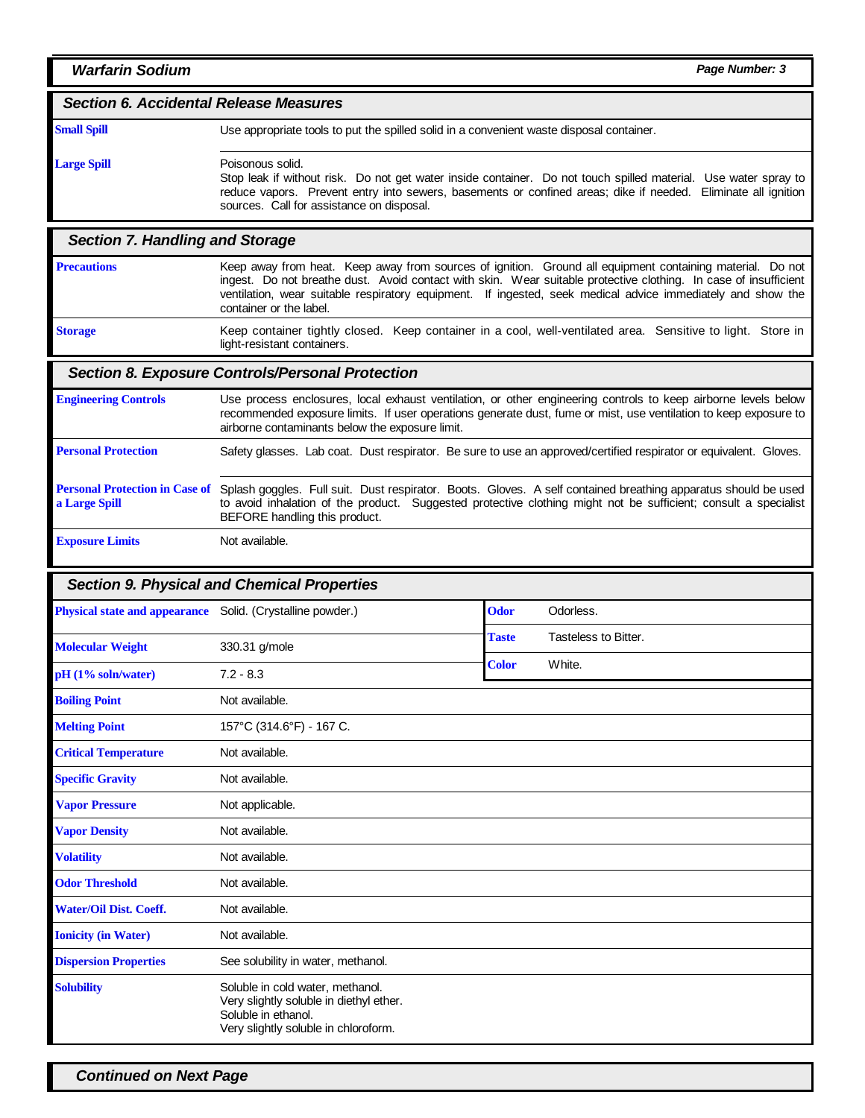#### *Section 6. Accidental Release Measures*

#### **Small Spill**

**Large Spill**

Use appropriate tools to put the spilled solid in a convenient waste disposal container.

#### Poisonous solid.

Stop leak if without risk. Do not get water inside container. Do not touch spilled material. Use water spray to reduce vapors. Prevent entry into sewers, basements or confined areas; dike if needed. Eliminate all ignition sources. Call for assistance on disposal.

## *Section 7. Handling and Storage*

Keep away from heat. Keep away from sources of ignition. Ground all equipment containing material. Do not ingest. Do not breathe dust. Avoid contact with skin. Wear suitable protective clothing. In case of insufficient ventilation, wear suitable respiratory equipment. If ingested, seek medical advice immediately and show the container or the label. **Precautions**

**Storage**

Keep container tightly closed. Keep container in a cool, well-ventilated area. Sensitive to light. Store in light-resistant containers.

#### *Section 8. Exposure Controls/Personal Protection*

Use process enclosures, local exhaust ventilation, or other engineering controls to keep airborne levels below recommended exposure limits. If user operations generate dust, fume or mist, use ventilation to keep exposure to airborne contaminants below the exposure limit. Safety glasses. Lab coat. Dust respirator. Be sure to use an approved/certified respirator or equivalent. Gloves. Personal Protection in Case of Splash goggles. Full suit. Dust respirator. Boots. Gloves. A self contained breathing apparatus should be used to avoid inhalation of the product. Suggested protective clothing might not be sufficient; consult a specialist BEFORE handling this product. Not available. **Engineering Controls Personal Protection a Large Spill Exposure Limits**

#### *Section 9. Physical and Chemical Properties*

| <b>Physical state and appearance</b> | Solid. (Crystalline powder.)                                                                                                               | <b>Odor</b>  | Odorless.            |
|--------------------------------------|--------------------------------------------------------------------------------------------------------------------------------------------|--------------|----------------------|
|                                      |                                                                                                                                            | <b>Taste</b> | Tasteless to Bitter. |
| <b>Molecular Weight</b>              | 330.31 g/mole                                                                                                                              |              |                      |
| pH (1% soln/water)                   | $7.2 - 8.3$                                                                                                                                | <b>Color</b> | White.               |
| <b>Boiling Point</b>                 | Not available.                                                                                                                             |              |                      |
| <b>Melting Point</b>                 | 157°C (314.6°F) - 167 C.                                                                                                                   |              |                      |
| <b>Critical Temperature</b>          | Not available.                                                                                                                             |              |                      |
| <b>Specific Gravity</b>              | Not available.                                                                                                                             |              |                      |
| <b>Vapor Pressure</b>                | Not applicable.                                                                                                                            |              |                      |
| <b>Vapor Density</b>                 | Not available.                                                                                                                             |              |                      |
| <b>Volatility</b>                    | Not available.                                                                                                                             |              |                      |
| <b>Odor Threshold</b>                | Not available.                                                                                                                             |              |                      |
| <b>Water/Oil Dist. Coeff.</b>        | Not available.                                                                                                                             |              |                      |
| <b>Ionicity</b> (in Water)           | Not available.                                                                                                                             |              |                      |
| <b>Dispersion Properties</b>         | See solubility in water, methanol.                                                                                                         |              |                      |
| <b>Solubility</b>                    | Soluble in cold water, methanol.<br>Very slightly soluble in diethyl ether.<br>Soluble in ethanol.<br>Very slightly soluble in chloroform. |              |                      |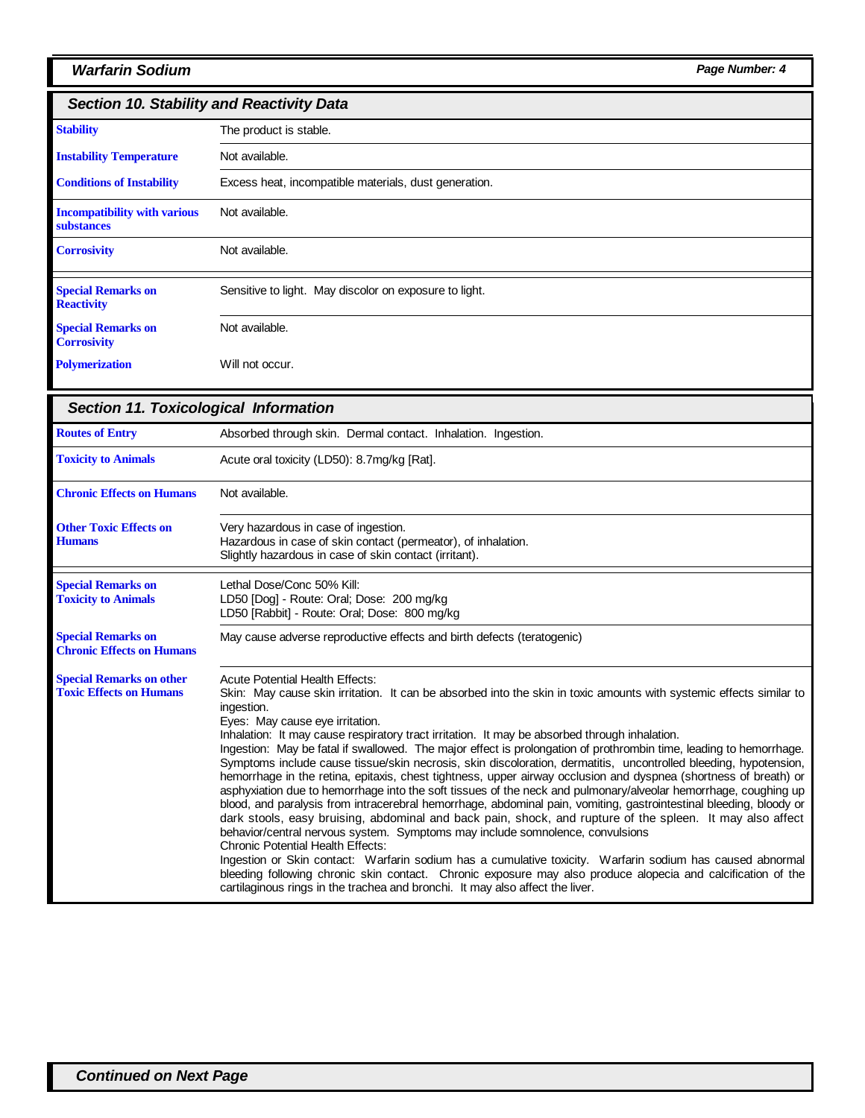# *Warfarin Sodium Page Number: 4*

| <b>Section 10. Stability and Reactivity Data</b>         |                                                        |
|----------------------------------------------------------|--------------------------------------------------------|
| <b>Stability</b>                                         | The product is stable.                                 |
| <b>Instability Temperature</b>                           | Not available.                                         |
| <b>Conditions of Instability</b>                         | Excess heat, incompatible materials, dust generation.  |
| <b>Incompatibility with various</b><br><b>substances</b> | Not available.                                         |
| <b>Corrosivity</b>                                       | Not available.                                         |
| <b>Special Remarks on</b><br><b>Reactivity</b>           | Sensitive to light. May discolor on exposure to light. |
| <b>Special Remarks on</b><br><b>Corrosivity</b>          | Not available.                                         |
| <b>Polymerization</b>                                    | Will not occur.                                        |

| <b>Section 11. Toxicological Information</b>                      |                                                                                                                                                                                                                                                                                                                                                                                                                                                                                                                                                                                                                                                                                                                                                                                                                                                                                                                                                                                                                                                                                                                                                                                                                                                                                                                                                                                                                                                                                |
|-------------------------------------------------------------------|--------------------------------------------------------------------------------------------------------------------------------------------------------------------------------------------------------------------------------------------------------------------------------------------------------------------------------------------------------------------------------------------------------------------------------------------------------------------------------------------------------------------------------------------------------------------------------------------------------------------------------------------------------------------------------------------------------------------------------------------------------------------------------------------------------------------------------------------------------------------------------------------------------------------------------------------------------------------------------------------------------------------------------------------------------------------------------------------------------------------------------------------------------------------------------------------------------------------------------------------------------------------------------------------------------------------------------------------------------------------------------------------------------------------------------------------------------------------------------|
| <b>Routes of Entry</b>                                            | Absorbed through skin. Dermal contact. Inhalation. Ingestion.                                                                                                                                                                                                                                                                                                                                                                                                                                                                                                                                                                                                                                                                                                                                                                                                                                                                                                                                                                                                                                                                                                                                                                                                                                                                                                                                                                                                                  |
| <b>Toxicity to Animals</b>                                        | Acute oral toxicity (LD50): 8.7mg/kg [Rat].                                                                                                                                                                                                                                                                                                                                                                                                                                                                                                                                                                                                                                                                                                                                                                                                                                                                                                                                                                                                                                                                                                                                                                                                                                                                                                                                                                                                                                    |
| <b>Chronic Effects on Humans</b>                                  | Not available.                                                                                                                                                                                                                                                                                                                                                                                                                                                                                                                                                                                                                                                                                                                                                                                                                                                                                                                                                                                                                                                                                                                                                                                                                                                                                                                                                                                                                                                                 |
| <b>Other Toxic Effects on</b><br><b>Humans</b>                    | Very hazardous in case of ingestion.<br>Hazardous in case of skin contact (permeator), of inhalation.<br>Slightly hazardous in case of skin contact (irritant).                                                                                                                                                                                                                                                                                                                                                                                                                                                                                                                                                                                                                                                                                                                                                                                                                                                                                                                                                                                                                                                                                                                                                                                                                                                                                                                |
| <b>Special Remarks on</b><br><b>Toxicity to Animals</b>           | Lethal Dose/Conc 50% Kill:<br>LD50 [Dog] - Route: Oral; Dose: 200 mg/kg<br>LD50 [Rabbit] - Route: Oral; Dose: 800 mg/kg                                                                                                                                                                                                                                                                                                                                                                                                                                                                                                                                                                                                                                                                                                                                                                                                                                                                                                                                                                                                                                                                                                                                                                                                                                                                                                                                                        |
| <b>Special Remarks on</b><br><b>Chronic Effects on Humans</b>     | May cause adverse reproductive effects and birth defects (teratogenic)                                                                                                                                                                                                                                                                                                                                                                                                                                                                                                                                                                                                                                                                                                                                                                                                                                                                                                                                                                                                                                                                                                                                                                                                                                                                                                                                                                                                         |
| <b>Special Remarks on other</b><br><b>Toxic Effects on Humans</b> | <b>Acute Potential Health Effects:</b><br>Skin: May cause skin irritation. It can be absorbed into the skin in toxic amounts with systemic effects similar to<br>ingestion.<br>Eyes: May cause eye irritation.<br>Inhalation: It may cause respiratory tract irritation. It may be absorbed through inhalation.<br>Ingestion: May be fatal if swallowed. The major effect is prolongation of prothrombin time, leading to hemorrhage.<br>Symptoms include cause tissue/skin necrosis, skin discoloration, dermatitis, uncontrolled bleeding, hypotension,<br>hemorrhage in the retina, epitaxis, chest tightness, upper airway occlusion and dyspnea (shortness of breath) or<br>asphyxiation due to hemorrhage into the soft tissues of the neck and pulmonary/alveolar hemorrhage, coughing up<br>blood, and paralysis from intracerebral hemorrhage, abdominal pain, vomiting, gastrointestinal bleeding, bloody or<br>dark stools, easy bruising, abdominal and back pain, shock, and rupture of the spleen. It may also affect<br>behavior/central nervous system. Symptoms may include somnolence, convulsions<br><b>Chronic Potential Health Effects:</b><br>Ingestion or Skin contact: Warfarin sodium has a cumulative toxicity. Warfarin sodium has caused abnormal<br>bleeding following chronic skin contact. Chronic exposure may also produce alopecia and calcification of the<br>cartilaginous rings in the trachea and bronchi. It may also affect the liver. |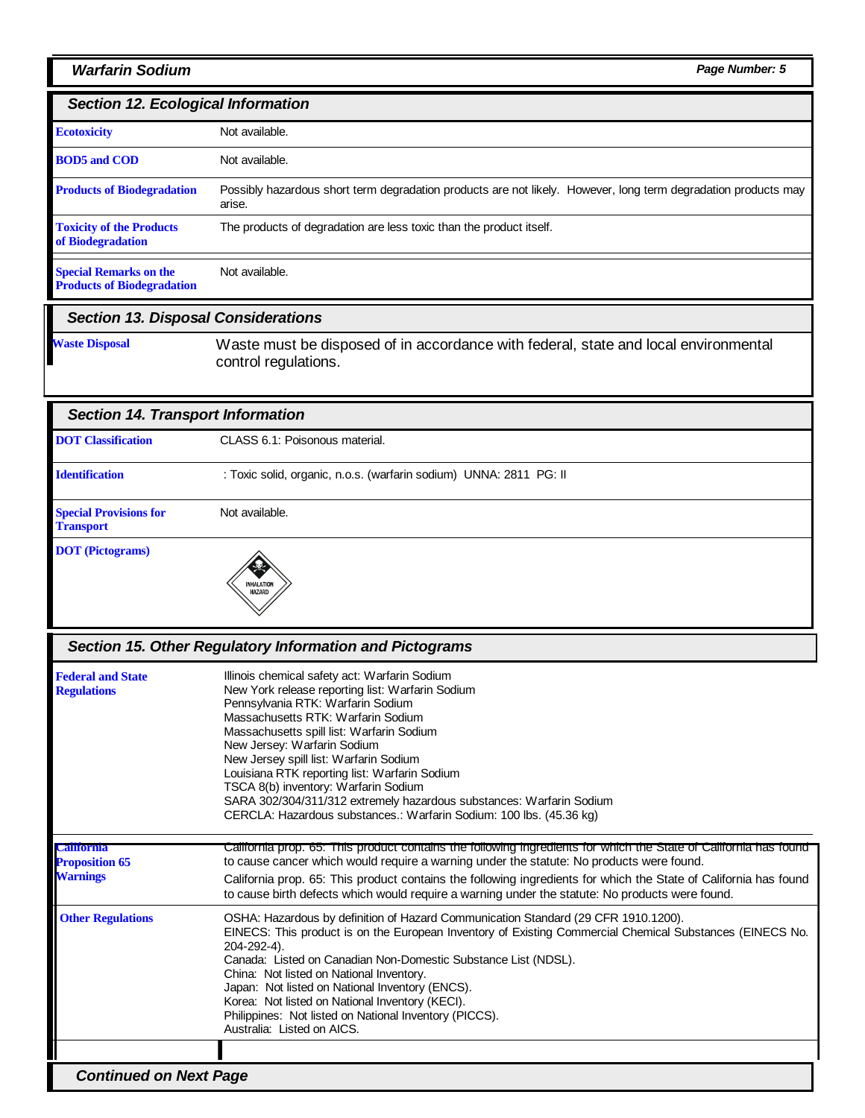## *Warfarin Sodium Page Number: 5*

# *Section 12. Ecological Information*

| <b>Ecotoxicity</b>                                                 | Not available.                                                                                                           |
|--------------------------------------------------------------------|--------------------------------------------------------------------------------------------------------------------------|
| <b>BOD5</b> and COD                                                | Not available.                                                                                                           |
| <b>Products of Biodegradation</b>                                  | Possibly hazardous short term degradation products are not likely. However, long term degradation products may<br>arise. |
| <b>Toxicity of the Products</b><br>of Biodegradation               | The products of degradation are less toxic than the product itself.                                                      |
| <b>Special Remarks on the</b><br><b>Products of Biodegradation</b> | Not available.                                                                                                           |

# *Section 13. Disposal Considerations*

**Waste Disposal** Waste must be disposed of in accordance with federal, state and local environmental control regulations.

| <b>Section 14. Transport Information</b>          |                                                                    |
|---------------------------------------------------|--------------------------------------------------------------------|
| <b>DOT</b> Classification                         | CLASS 6.1: Poisonous material.                                     |
| <b>Identification</b>                             | : Toxic solid, organic, n.o.s. (warfarin sodium) UNNA: 2811 PG: II |
| <b>Special Provisions for</b><br><b>Transport</b> | Not available.                                                     |
| <b>DOT</b> (Pictograms)                           | INHALATION<br>HAZARD                                               |

| Section 15. Other Regulatory Information and Pictograms       |                                                                                                                                                                                                                                                                                                                                                                                                                                                                                                                                            |  |
|---------------------------------------------------------------|--------------------------------------------------------------------------------------------------------------------------------------------------------------------------------------------------------------------------------------------------------------------------------------------------------------------------------------------------------------------------------------------------------------------------------------------------------------------------------------------------------------------------------------------|--|
| <b>Federal and State</b><br><b>Regulations</b>                | Illinois chemical safety act: Warfarin Sodium<br>New York release reporting list: Warfarin Sodium<br>Pennsylvania RTK: Warfarin Sodium<br>Massachusetts RTK: Warfarin Sodium<br>Massachusetts spill list: Warfarin Sodium<br>New Jersey: Warfarin Sodium<br>New Jersey spill list: Warfarin Sodium<br>Louisiana RTK reporting list: Warfarin Sodium<br>TSCA 8(b) inventory: Warfarin Sodium<br>SARA 302/304/311/312 extremely hazardous substances: Warfarin Sodium<br>CERCLA: Hazardous substances.: Warfarin Sodium: 100 lbs. (45.36 kg) |  |
| <b>California</b><br><b>Proposition 65</b><br><b>Warnings</b> | California prop. 65: This product contains the following ingredients for which the State of California has found<br>to cause cancer which would require a warning under the statute: No products were found.<br>California prop. 65: This product contains the following ingredients for which the State of California has found<br>to cause birth defects which would require a warning under the statute: No products were found.                                                                                                        |  |
| <b>Other Regulations</b>                                      | OSHA: Hazardous by definition of Hazard Communication Standard (29 CFR 1910.1200).<br>EINECS: This product is on the European Inventory of Existing Commercial Chemical Substances (EINECS No.<br>204-292-4).<br>Canada: Listed on Canadian Non-Domestic Substance List (NDSL).<br>China: Not listed on National Inventory.<br>Japan: Not listed on National Inventory (ENCS).<br>Korea: Not listed on National Inventory (KECI).<br>Philippines: Not listed on National Inventory (PICCS).<br>Australia: Listed on AICS.                  |  |
|                                                               |                                                                                                                                                                                                                                                                                                                                                                                                                                                                                                                                            |  |
| <b>Continued on Next Page</b>                                 |                                                                                                                                                                                                                                                                                                                                                                                                                                                                                                                                            |  |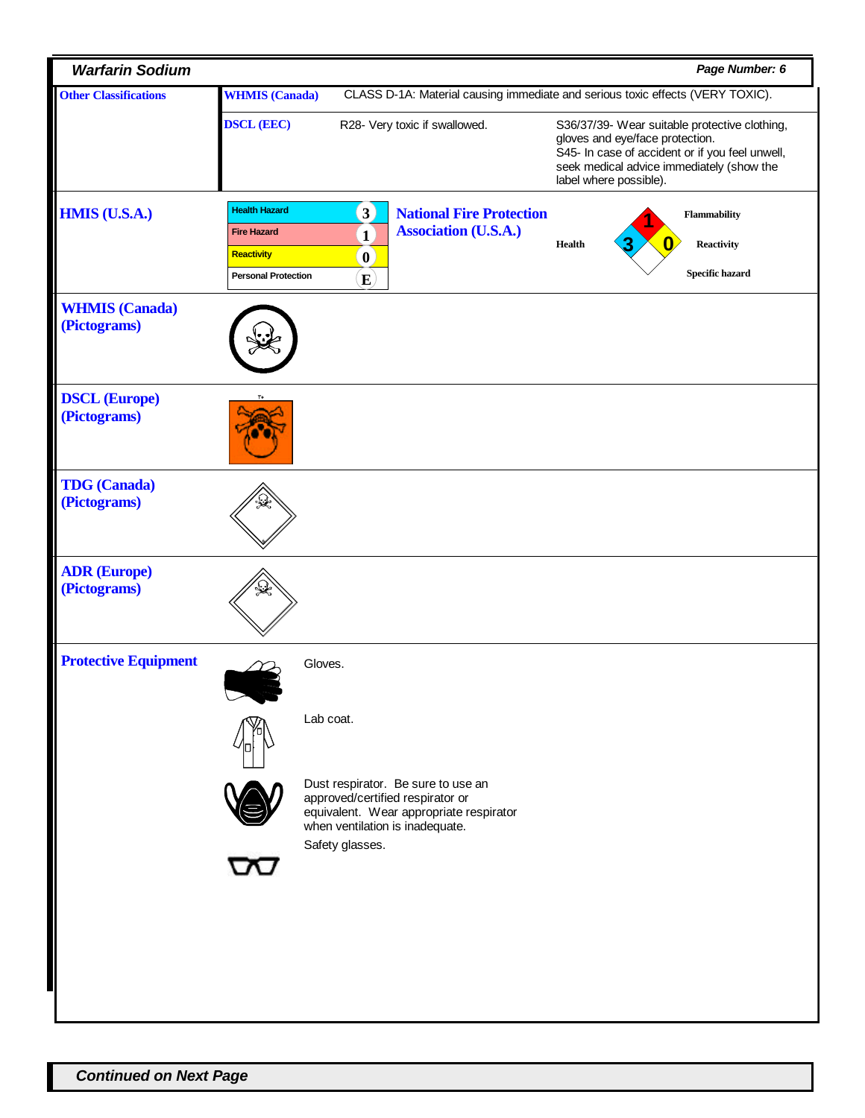| <b>Warfarin Sodium</b>                |                                                                                                         |                                                                                        |                                                                               |                                                                                                                                                                                                            |  | Page Number: 6                                              |  |
|---------------------------------------|---------------------------------------------------------------------------------------------------------|----------------------------------------------------------------------------------------|-------------------------------------------------------------------------------|------------------------------------------------------------------------------------------------------------------------------------------------------------------------------------------------------------|--|-------------------------------------------------------------|--|
| <b>Other Classifications</b>          | CLASS D-1A: Material causing immediate and serious toxic effects (VERY TOXIC).<br><b>WHMIS</b> (Canada) |                                                                                        |                                                                               |                                                                                                                                                                                                            |  |                                                             |  |
|                                       | <b>DSCL (EEC)</b>                                                                                       | R28- Very toxic if swallowed.                                                          |                                                                               | S36/37/39- Wear suitable protective clothing,<br>gloves and eye/face protection.<br>S45- In case of accident or if you feel unwell,<br>seek medical advice immediately (show the<br>label where possible). |  |                                                             |  |
| <b>HMIS (U.S.A.)</b>                  | <b>Health Hazard</b><br><b>Fire Hazard</b><br>Reactivity<br><b>Personal Protection</b>                  | $\mathbf{3}$<br>$\mathbf{1}$<br>$\mathbf{0}$<br>$\bf E$                                | <b>National Fire Protection</b><br><b>Association (U.S.A.)</b>                | <b>Health</b>                                                                                                                                                                                              |  | Flammability<br><b>Reactivity</b><br><b>Specific hazard</b> |  |
| <b>WHMIS</b> (Canada)<br>(Pictograms) |                                                                                                         |                                                                                        |                                                                               |                                                                                                                                                                                                            |  |                                                             |  |
| <b>DSCL (Europe)</b><br>(Pictograms)  | $T+$                                                                                                    |                                                                                        |                                                                               |                                                                                                                                                                                                            |  |                                                             |  |
| <b>TDG</b> (Canada)<br>(Pictograms)   |                                                                                                         |                                                                                        |                                                                               |                                                                                                                                                                                                            |  |                                                             |  |
| <b>ADR (Europe)</b><br>(Pictograms)   |                                                                                                         |                                                                                        |                                                                               |                                                                                                                                                                                                            |  |                                                             |  |
| <b>Protective Equipment</b>           |                                                                                                         | Gloves.                                                                                |                                                                               |                                                                                                                                                                                                            |  |                                                             |  |
|                                       |                                                                                                         | Lab coat.                                                                              |                                                                               |                                                                                                                                                                                                            |  |                                                             |  |
|                                       |                                                                                                         | approved/certified respirator or<br>when ventilation is inadequate.<br>Safety glasses. | Dust respirator. Be sure to use an<br>equivalent. Wear appropriate respirator |                                                                                                                                                                                                            |  |                                                             |  |
|                                       |                                                                                                         |                                                                                        |                                                                               |                                                                                                                                                                                                            |  |                                                             |  |
|                                       |                                                                                                         |                                                                                        |                                                                               |                                                                                                                                                                                                            |  |                                                             |  |